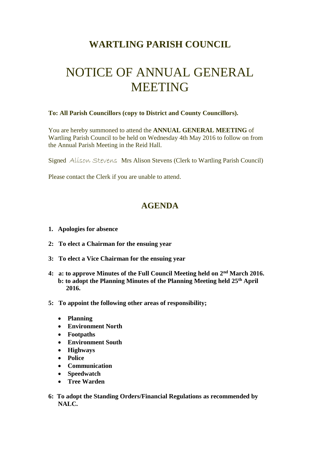## **WARTLING PARISH COUNCIL**

## NOTICE OF ANNUAL GENERAL MEETING

## **To: All Parish Councillors (copy to District and County Councillors).**

You are hereby summoned to attend the **ANNUAL GENERAL MEETING** of Wartling Parish Council to be held on Wednesday 4th May 2016 to follow on from the Annual Parish Meeting in the Reid Hall.

Signed Alison Stevens Mrs Alison Stevens (Clerk to Wartling Parish Council)

Please contact the Clerk if you are unable to attend.

## **AGENDA**

- **1. Apologies for absence**
- **2: To elect a Chairman for the ensuing year**
- **3: To elect a Vice Chairman for the ensuing year**
- **4: a: to approve Minutes of the Full Council Meeting held on 2nd March 2016. b: to adopt the Planning Minutes of the Planning Meeting held 25th April 2016.**
- **5: To appoint the following other areas of responsibility;**
	- **Planning**
	- **Environment North**
	- **Footpaths**
	- **Environment South**
	- **Highways**
	- **Police**
	- **Communication**
	- **Speedwatch**
	- **Tree Warden**
- **6: To adopt the Standing Orders/Financial Regulations as recommended by NALC.**